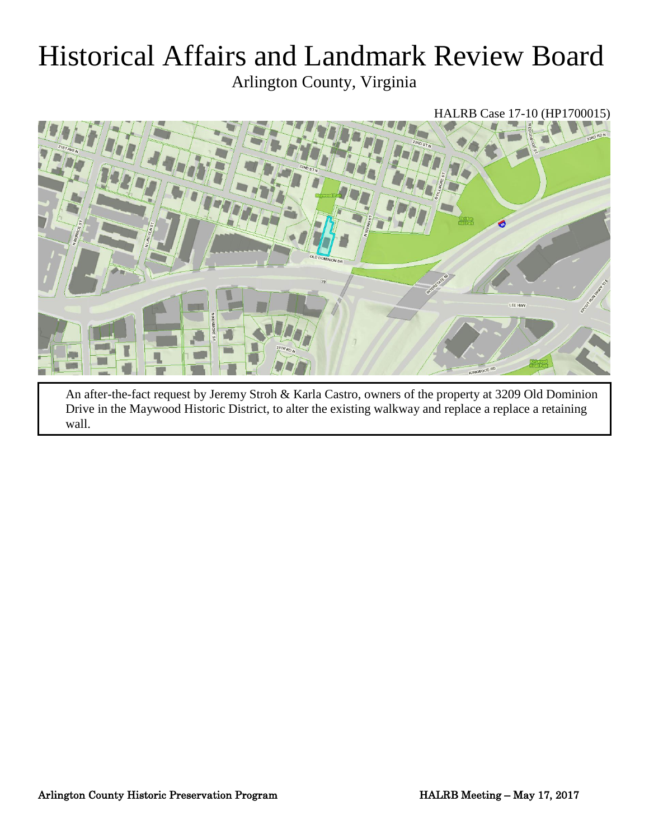# Historical Affairs and Landmark Review Board

Arlington County, Virginia

# HALRB Case 17-10 (HP1700015)



An after-the-fact request by Jeremy Stroh & Karla Castro, owners of the property at 3209 Old Dominion Drive in the Maywood Historic District, to alter the existing walkway and replace a replace a retaining wall.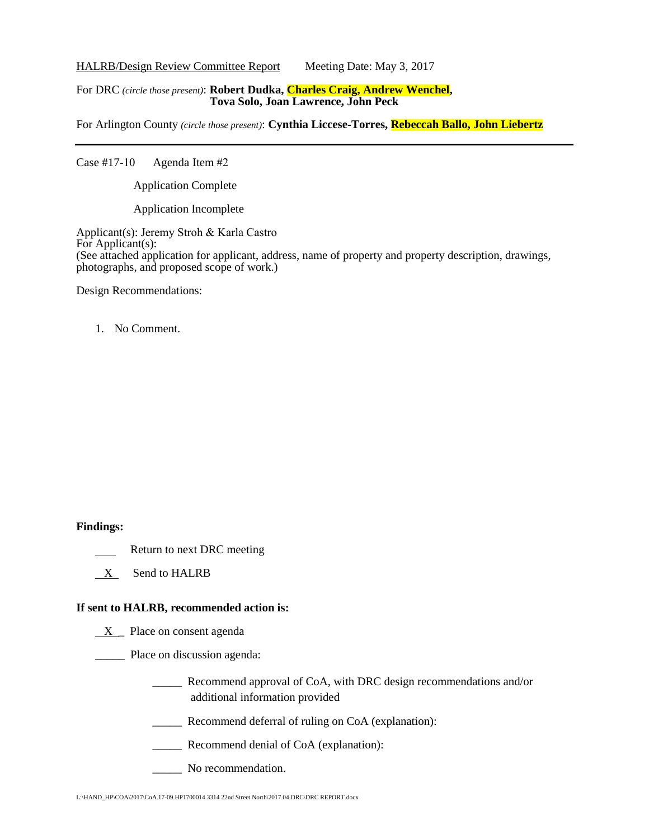HALRB/Design Review Committee Report Meeting Date: May 3, 2017

#### For DRC *(circle those present)*: **Robert Dudka, Charles Craig, Andrew Wenchel, Tova Solo, Joan Lawrence, John Peck**

For Arlington County *(circle those present)*: **Cynthia Liccese-Torres, Rebeccah Ballo, John Liebertz**

Case #17-10 Agenda Item #2

Application Complete

Application Incomplete

Applicant(s): Jeremy Stroh & Karla Castro For Applicant(s): (See attached application for applicant, address, name of property and property description, drawings, photographs, and proposed scope of work.)

Design Recommendations:

1. No Comment.

#### **Findings:**

- Return to next DRC meeting
- X Send to HALRB

## **If sent to HALRB, recommended action is:**

 $X$  Place on consent agenda

\_\_\_\_\_ Place on discussion agenda:

- \_\_\_\_\_ Recommend approval of CoA, with DRC design recommendations and/or additional information provided
- \_\_\_\_\_ Recommend deferral of ruling on CoA (explanation):
- \_\_\_\_\_ Recommend denial of CoA (explanation):
- No recommendation.